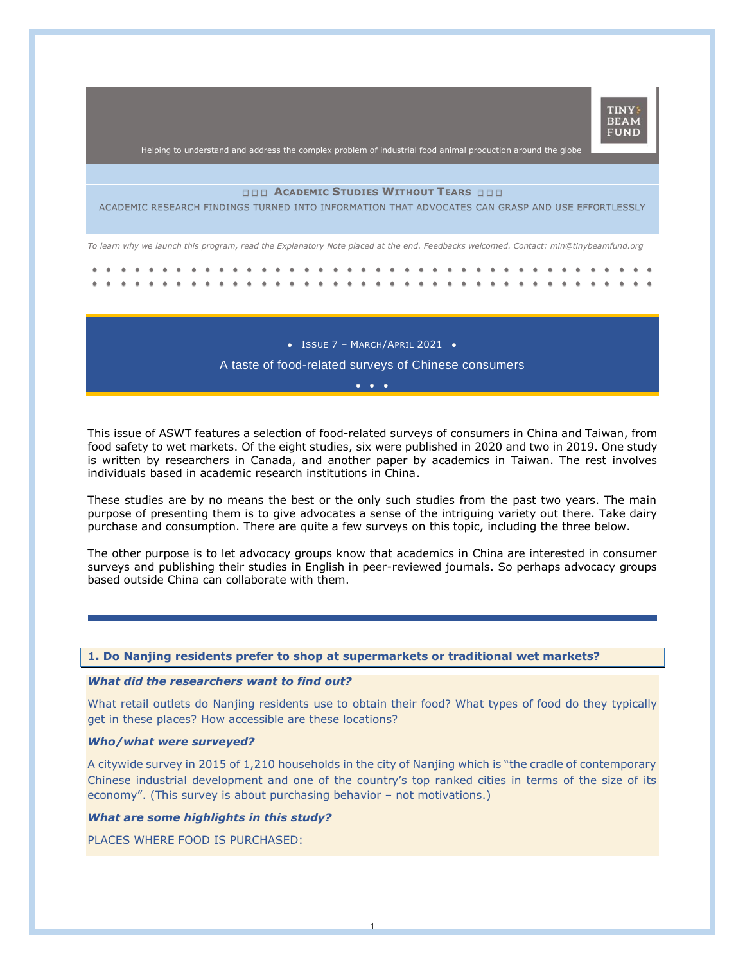

Helping to understand and address the complex problem of industrial food animal production around the globe

### **ACADEMIC STUDIES WITHOUT TEARS**

ACADEMIC RESEARCH FINDINGS TURNED INTO INFORMATION THAT ADVOCATES CAN GRASP AND USE EFFORTLESSLY

*To learn why we launch this program, read the Explanatory Note placed at the end. Feedbacks welcomed. Contact: min@tinybeamfund.org* 

 $\bullet$  ISSUE 7 - MARCH/APRIL 2021  $\bullet$ A taste of food-related surveys of Chinese consumers

•••

This issue of ASWT features a selection of food-related surveys of consumers in China and Taiwan, from food safety to wet markets. Of the eight studies, six were published in 2020 and two in 2019. One study is written by researchers in Canada, and another paper by academics in Taiwan. The rest involves individuals based in academic research institutions in China.

These studies are by no means the best or the only such studies from the past two years. The main purpose of presenting them is to give advocates a sense of the intriguing variety out there. Take dairy purchase and consumption. There are quite a few surveys on this topic, including the three below.

The other purpose is to let advocacy groups know that academics in China are interested in consumer surveys and publishing their studies in English in peer-reviewed journals. So perhaps advocacy groups based outside China can collaborate with them.

### **1. Do Nanjing residents prefer to shop at supermarkets or traditional wet markets?**

### *What did the researchers want to find out?*

What retail outlets do Nanjing residents use to obtain their food? What types of food do they typically get in these places? How accessible are these locations?

#### *Who/what were surveyed?*

A citywide survey in 2015 of 1,210 households in the city of Nanjing which is "the cradle of contemporary Chinese industrial development and one of the country's top ranked cities in terms of the size of its economy". (This survey is about purchasing behavior – not motivations.)

#### *What are some highlights in this study?*

PLACES WHERE FOOD IS PURCHASED: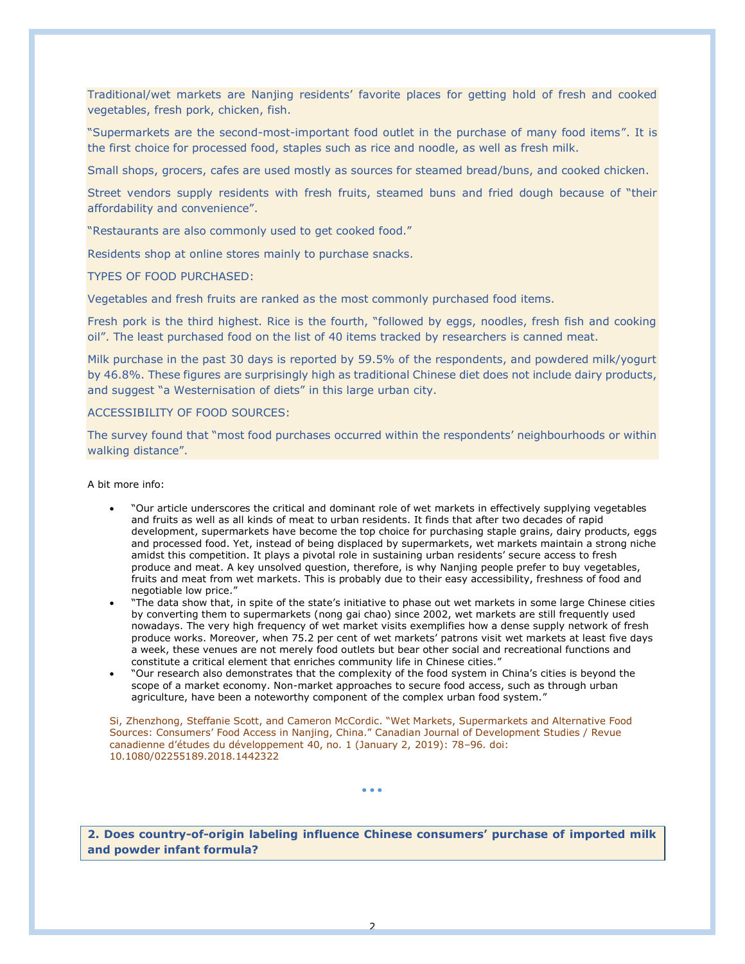Traditional/wet markets are Nanjing residents' favorite places for getting hold of fresh and cooked vegetables, fresh pork, chicken, fish.

"Supermarkets are the second-most-important food outlet in the purchase of many food items". It is the first choice for processed food, staples such as rice and noodle, as well as fresh milk.

Small shops, grocers, cafes are used mostly as sources for steamed bread/buns, and cooked chicken.

Street vendors supply residents with fresh fruits, steamed buns and fried dough because of "their affordability and convenience".

"Restaurants are also commonly used to get cooked food."

Residents shop at online stores mainly to purchase snacks.

TYPES OF FOOD PURCHASED:

Vegetables and fresh fruits are ranked as the most commonly purchased food items.

Fresh pork is the third highest. Rice is the fourth, "followed by eggs, noodles, fresh fish and cooking oil". The least purchased food on the list of 40 items tracked by researchers is canned meat.

Milk purchase in the past 30 days is reported by 59.5% of the respondents, and powdered milk/yogurt by 46.8%. These figures are surprisingly high as traditional Chinese diet does not include dairy products, and suggest "a Westernisation of diets" in this large urban city.

## ACCESSIBILITY OF FOOD SOURCES:

The survey found that "most food purchases occurred within the respondents' neighbourhoods or within walking distance".

A bit more info:

- "Our article underscores the critical and dominant role of wet markets in effectively supplying vegetables and fruits as well as all kinds of meat to urban residents. It finds that after two decades of rapid development, supermarkets have become the top choice for purchasing staple grains, dairy products, eggs and processed food. Yet, instead of being displaced by supermarkets, wet markets maintain a strong niche amidst this competition. It plays a pivotal role in sustaining urban residents' secure access to fresh produce and meat. A key unsolved question, therefore, is why Nanjing people prefer to buy vegetables, fruits and meat from wet markets. This is probably due to their easy accessibility, freshness of food and negotiable low price."
- "The data show that, in spite of the state's initiative to phase out wet markets in some large Chinese cities by converting them to supermarkets (nong gai chao) since 2002, wet markets are still frequently used nowadays. The very high frequency of wet market visits exemplifies how a dense supply network of fresh produce works. Moreover, when 75.2 per cent of wet markets' patrons visit wet markets at least five days a week, these venues are not merely food outlets but bear other social and recreational functions and constitute a critical element that enriches community life in Chinese cities."
- "Our research also demonstrates that the complexity of the food system in China's cities is beyond the scope of a market economy. Non-market approaches to secure food access, such as through urban agriculture, have been a noteworthy component of the complex urban food system."

Si, Zhenzhong, Steffanie Scott, and Cameron McCordic. "Wet Markets, Supermarkets and Alternative Food Sources: Consumers' Food Access in Nanjing, China." Canadian Journal of Development Studies / Revue canadienne d'études du développement 40, no. 1 (January 2, 2019): 78–96. doi: 10.1080/02255189.2018.1442322

• • •

**2. Does country-of-origin labeling influence Chinese consumers' purchase of imported milk and powder infant formula?**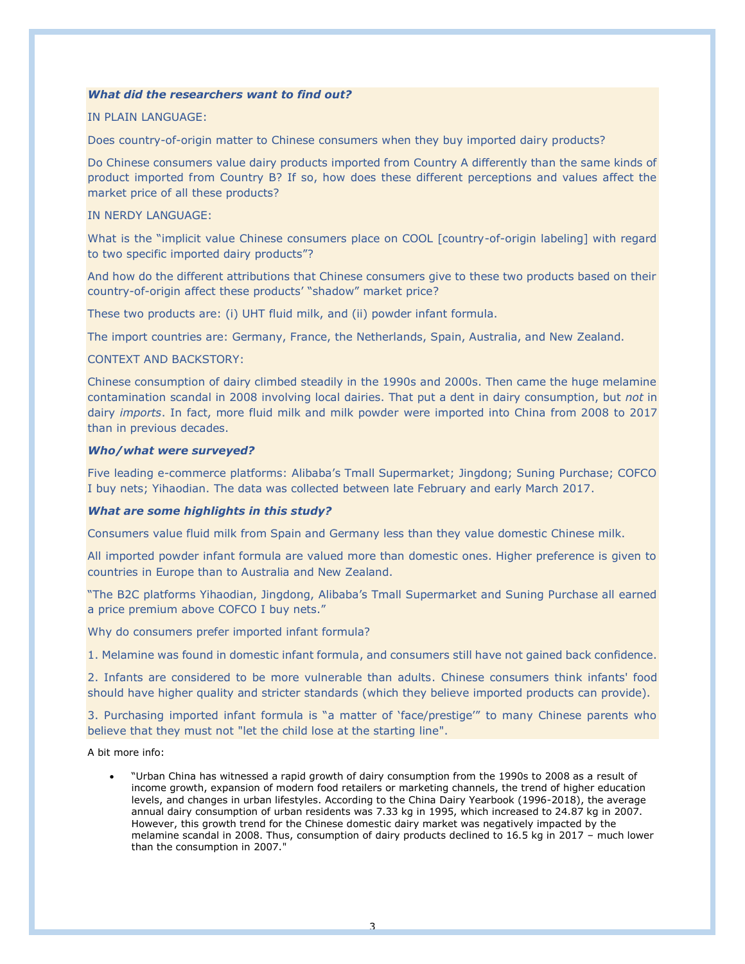## *What did the researchers want to find out?*

## IN PLAIN LANGUAGE:

Does country-of-origin matter to Chinese consumers when they buy imported dairy products?

Do Chinese consumers value dairy products imported from Country A differently than the same kinds of product imported from Country B? If so, how does these different perceptions and values affect the market price of all these products?

## IN NERDY LANGUAGE:

What is the "implicit value Chinese consumers place on COOL [country-of-origin labeling] with regard to two specific imported dairy products"?

And how do the different attributions that Chinese consumers give to these two products based on their country-of-origin affect these products' "shadow" market price?

These two products are: (i) UHT fluid milk, and (ii) powder infant formula.

The import countries are: Germany, France, the Netherlands, Spain, Australia, and New Zealand.

### CONTEXT AND BACKSTORY:

Chinese consumption of dairy climbed steadily in the 1990s and 2000s. Then came the huge melamine contamination scandal in 2008 involving local dairies. That put a dent in dairy consumption, but *not* in dairy *imports*. In fact, more fluid milk and milk powder were imported into China from 2008 to 2017 than in previous decades.

## *Who/what were surveyed?*

Five leading e-commerce platforms: Alibaba's Tmall Supermarket; Jingdong; Suning Purchase; COFCO I buy nets; Yihaodian. The data was collected between late February and early March 2017.

### *What are some highlights in this study?*

Consumers value fluid milk from Spain and Germany less than they value domestic Chinese milk.

All imported powder infant formula are valued more than domestic ones. Higher preference is given to countries in Europe than to Australia and New Zealand.

"The B2C platforms Yihaodian, Jingdong, Alibaba's Tmall Supermarket and Suning Purchase all earned a price premium above COFCO I buy nets."

Why do consumers prefer imported infant formula?

1. Melamine was found in domestic infant formula, and consumers still have not gained back confidence.

2. Infants are considered to be more vulnerable than adults. Chinese consumers think infants' food should have higher quality and stricter standards (which they believe imported products can provide).

3. Purchasing imported infant formula is "a matter of 'face/prestige'" to many Chinese parents who believe that they must not "let the child lose at the starting line".

A bit more info:

• "Urban China has witnessed a rapid growth of dairy consumption from the 1990s to 2008 as a result of income growth, expansion of modern food retailers or marketing channels, the trend of higher education levels, and changes in urban lifestyles. According to the China Dairy Yearbook (1996-2018), the average annual dairy consumption of urban residents was 7.33 kg in 1995, which increased to 24.87 kg in 2007. However, this growth trend for the Chinese domestic dairy market was negatively impacted by the melamine scandal in 2008. Thus, consumption of dairy products declined to 16.5 kg in 2017 – much lower than the consumption in 2007."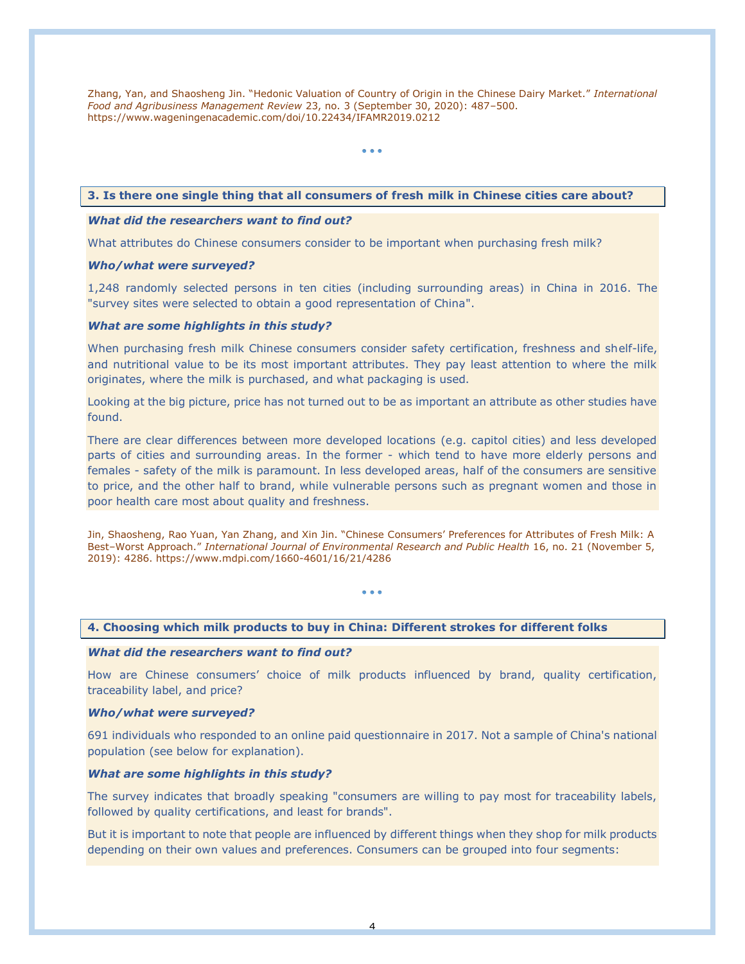Zhang, Yan, and Shaosheng Jin. "Hedonic Valuation of Country of Origin in the Chinese Dairy Market." *International Food and Agribusiness Management Review* 23, no. 3 (September 30, 2020): 487–500. https://www.wageningenacademic.com/doi/10.22434/IFAMR2019.0212

• • •

# **3. Is there one single thing that all consumers of fresh milk in Chinese cities care about?**

## *What did the researchers want to find out?*

What attributes do Chinese consumers consider to be important when purchasing fresh milk?

### *Who/what were surveyed?*

1,248 randomly selected persons in ten cities (including surrounding areas) in China in 2016. The "survey sites were selected to obtain a good representation of China".

### *What are some highlights in this study?*

When purchasing fresh milk Chinese consumers consider safety certification, freshness and shelf-life, and nutritional value to be its most important attributes. They pay least attention to where the milk originates, where the milk is purchased, and what packaging is used.

Looking at the big picture, price has not turned out to be as important an attribute as other studies have found.

There are clear differences between more developed locations (e.g. capitol cities) and less developed parts of cities and surrounding areas. In the former - which tend to have more elderly persons and females - safety of the milk is paramount. In less developed areas, half of the consumers are sensitive to price, and the other half to brand, while vulnerable persons such as pregnant women and those in poor health care most about quality and freshness.

Jin, Shaosheng, Rao Yuan, Yan Zhang, and Xin Jin. "Chinese Consumers' Preferences for Attributes of Fresh Milk: A Best–Worst Approach." *International Journal of Environmental Research and Public Health* 16, no. 21 (November 5, 2019): 4286. https://www.mdpi.com/1660-4601/16/21/4286

• • •

## **4. Choosing which milk products to buy in China: Different strokes for different folks**

#### *What did the researchers want to find out?*

How are Chinese consumers' choice of milk products influenced by brand, quality certification, traceability label, and price?

#### *Who/what were surveyed?*

691 individuals who responded to an online paid questionnaire in 2017. Not a sample of China's national population (see below for explanation).

### *What are some highlights in this study?*

The survey indicates that broadly speaking "consumers are willing to pay most for traceability labels, followed by quality certifications, and least for brands".

But it is important to note that people are influenced by different things when they shop for milk products depending on their own values and preferences. Consumers can be grouped into four segments: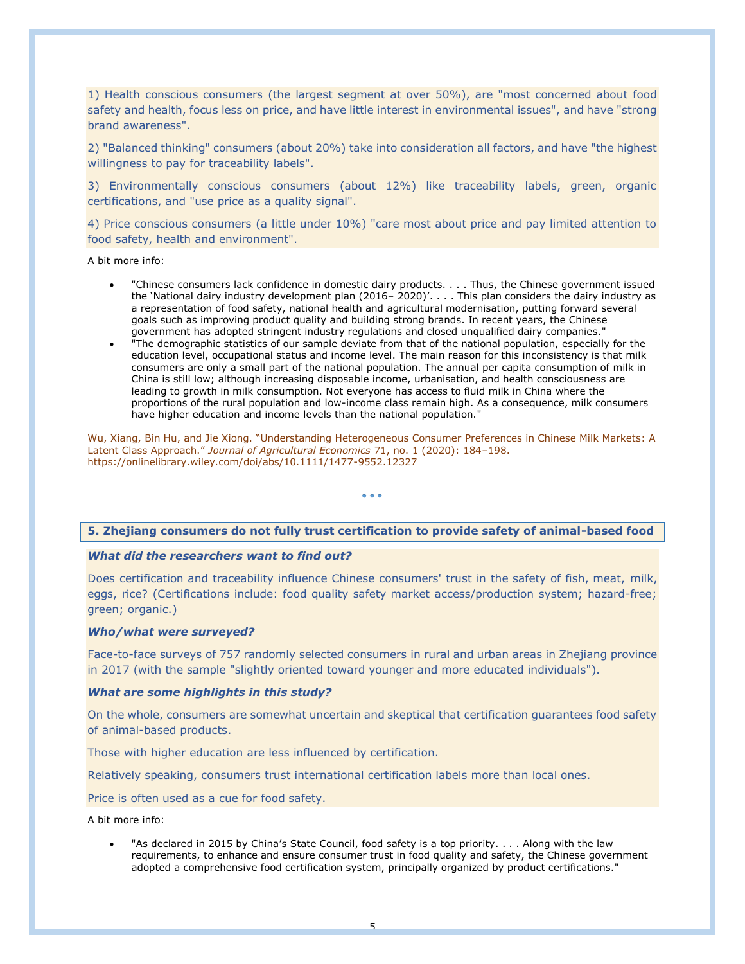1) Health conscious consumers (the largest segment at over 50%), are "most concerned about food safety and health, focus less on price, and have little interest in environmental issues", and have "strong brand awareness".

2) "Balanced thinking" consumers (about 20%) take into consideration all factors, and have "the highest willingness to pay for traceability labels".

3) Environmentally conscious consumers (about 12%) like traceability labels, green, organic certifications, and "use price as a quality signal".

4) Price conscious consumers (a little under 10%) "care most about price and pay limited attention to food safety, health and environment".

A bit more info:

- "Chinese consumers lack confidence in domestic dairy products. . . . Thus, the Chinese government issued the 'National dairy industry development plan (2016– 2020)'. . . . This plan considers the dairy industry as a representation of food safety, national health and agricultural modernisation, putting forward several goals such as improving product quality and building strong brands. In recent years, the Chinese government has adopted stringent industry regulations and closed unqualified dairy companies."
- "The demographic statistics of our sample deviate from that of the national population, especially for the education level, occupational status and income level. The main reason for this inconsistency is that milk consumers are only a small part of the national population. The annual per capita consumption of milk in China is still low; although increasing disposable income, urbanisation, and health consciousness are leading to growth in milk consumption. Not everyone has access to fluid milk in China where the proportions of the rural population and low-income class remain high. As a consequence, milk consumers have higher education and income levels than the national population."

Wu, Xiang, Bin Hu, and Jie Xiong. "Understanding Heterogeneous Consumer Preferences in Chinese Milk Markets: A Latent Class Approach." *Journal of Agricultural Economics* 71, no. 1 (2020): 184–198. https://onlinelibrary.wiley.com/doi/abs/10.1111/1477-9552.12327

### **5. Zhejiang consumers do not fully trust certification to provide safety of animal-based food**

• • •

## *What did the researchers want to find out?*

Does certification and traceability influence Chinese consumers' trust in the safety of fish, meat, milk, eggs, rice? (Certifications include: food quality safety market access/production system; hazard-free; green; organic.)

#### *Who/what were surveyed?*

Face-to-face surveys of 757 randomly selected consumers in rural and urban areas in Zhejiang province in 2017 (with the sample "slightly oriented toward younger and more educated individuals").

#### *What are some highlights in this study?*

On the whole, consumers are somewhat uncertain and skeptical that certification guarantees food safety of animal-based products.

Those with higher education are less influenced by certification.

Relatively speaking, consumers trust international certification labels more than local ones.

Price is often used as a cue for food safety.

A bit more info:

"As declared in 2015 by China's State Council, food safety is a top priority. . . . Along with the law requirements, to enhance and ensure consumer trust in food quality and safety, the Chinese government adopted a comprehensive food certification system, principally organized by product certifications."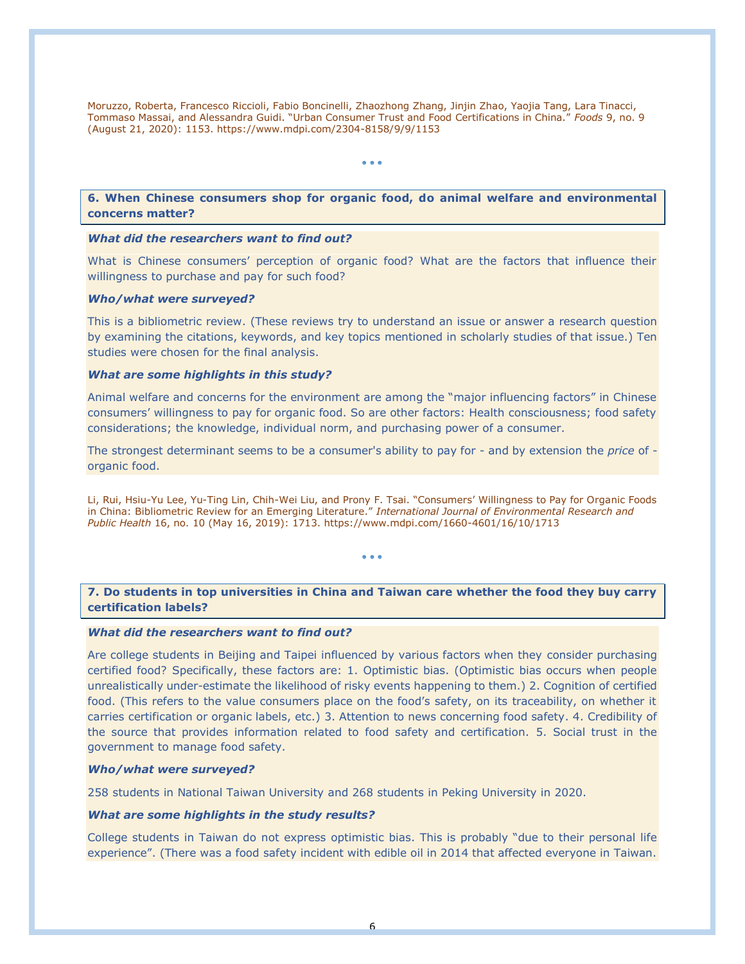Moruzzo, Roberta, Francesco Riccioli, Fabio Boncinelli, Zhaozhong Zhang, Jinjin Zhao, Yaojia Tang, Lara Tinacci, Tommaso Massai, and Alessandra Guidi. "Urban Consumer Trust and Food Certifications in China." *Foods* 9, no. 9 (August 21, 2020): 1153. https://www.mdpi.com/2304-8158/9/9/1153

**6. When Chinese consumers shop for organic food, do animal welfare and environmental concerns matter?**

• • •

## *What did the researchers want to find out?*

What is Chinese consumers' perception of organic food? What are the factors that influence their willingness to purchase and pay for such food?

#### *Who/what were surveyed?*

This is a bibliometric review. (These reviews try to understand an issue or answer a research question by examining the citations, keywords, and key topics mentioned in scholarly studies of that issue.) Ten studies were chosen for the final analysis.

#### *What are some highlights in this study?*

Animal welfare and concerns for the environment are among the "major influencing factors" in Chinese consumers' willingness to pay for organic food. So are other factors: Health consciousness; food safety considerations; the knowledge, individual norm, and purchasing power of a consumer.

The strongest determinant seems to be a consumer's ability to pay for - and by extension the *price* of organic food.

Li, Rui, Hsiu-Yu Lee, Yu-Ting Lin, Chih-Wei Liu, and Prony F. Tsai. "Consumers' Willingness to Pay for Organic Foods in China: Bibliometric Review for an Emerging Literature." *International Journal of Environmental Research and Public Health* 16, no. 10 (May 16, 2019): 1713. https://www.mdpi.com/1660-4601/16/10/1713

• • •

**7. Do students in top universities in China and Taiwan care whether the food they buy carry certification labels?**

#### *What did the researchers want to find out?*

Are college students in Beijing and Taipei influenced by various factors when they consider purchasing certified food? Specifically, these factors are: 1. Optimistic bias. (Optimistic bias occurs when people unrealistically under-estimate the likelihood of risky events happening to them.) 2. Cognition of certified food. (This refers to the value consumers place on the food's safety, on its traceability, on whether it carries certification or organic labels, etc.) 3. Attention to news concerning food safety. 4. Credibility of the source that provides information related to food safety and certification. 5. Social trust in the government to manage food safety.

## *Who/what were surveyed?*

258 students in National Taiwan University and 268 students in Peking University in 2020.

#### *What are some highlights in the study results?*

College students in Taiwan do not express optimistic bias. This is probably "due to their personal life experience". (There was a food safety incident with edible oil in 2014 that affected everyone in Taiwan.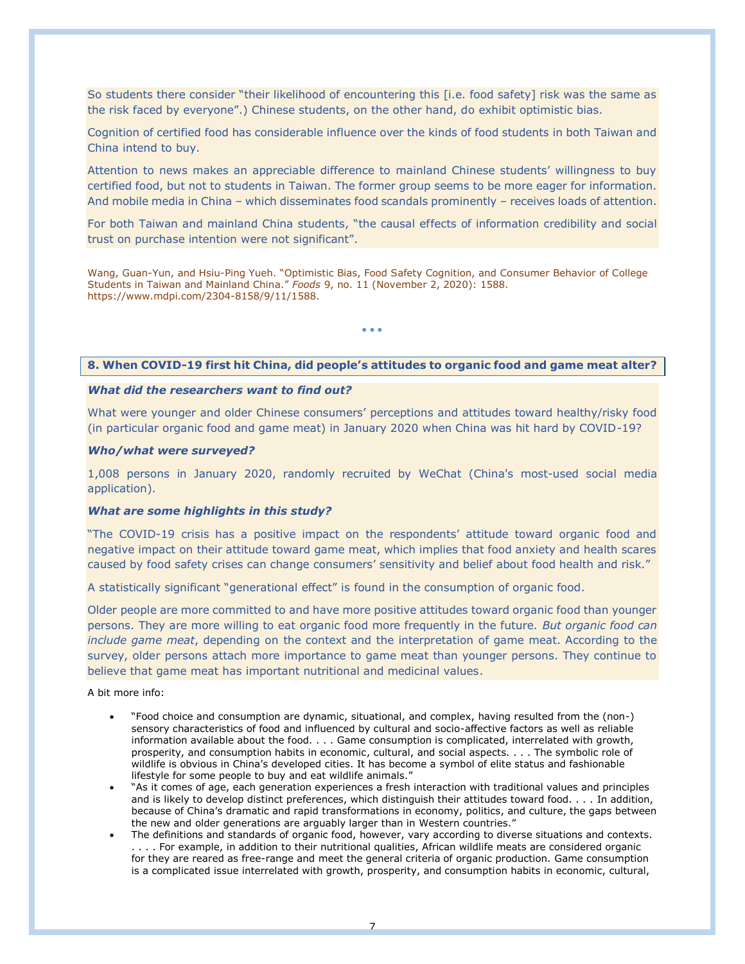So students there consider "their likelihood of encountering this [i.e. food safety] risk was the same as the risk faced by everyone".) Chinese students, on the other hand, do exhibit optimistic bias.

Cognition of certified food has considerable influence over the kinds of food students in both Taiwan and China intend to buy.

Attention to news makes an appreciable difference to mainland Chinese students' willingness to buy certified food, but not to students in Taiwan. The former group seems to be more eager for information. And mobile media in China – which disseminates food scandals prominently – receives loads of attention.

For both Taiwan and mainland China students, "the causal effects of information credibility and social trust on purchase intention were not significant".

Wang, Guan-Yun, and Hsiu-Ping Yueh. "Optimistic Bias, Food Safety Cognition, and Consumer Behavior of College Students in Taiwan and Mainland China." *Foods* 9, no. 11 (November 2, 2020): 1588. https://www.mdpi.com/2304-8158/9/11/1588.

## **8. When COVID-19 first hit China, did people's attitudes to organic food and game meat alter?**

• • •

### *What did the researchers want to find out?*

What were younger and older Chinese consumers' perceptions and attitudes toward healthy/risky food (in particular organic food and game meat) in January 2020 when China was hit hard by COVID-19?

#### *Who/what were surveyed?*

1,008 persons in January 2020, randomly recruited by WeChat (China's most-used social media application).

#### *What are some highlights in this study?*

"The COVID-19 crisis has a positive impact on the respondents' attitude toward organic food and negative impact on their attitude toward game meat, which implies that food anxiety and health scares caused by food safety crises can change consumers' sensitivity and belief about food health and risk."

A statistically significant "generational effect" is found in the consumption of organic food.

Older people are more committed to and have more positive attitudes toward organic food than younger persons. They are more willing to eat organic food more frequently in the future. *But organic food can include game meat*, depending on the context and the interpretation of game meat. According to the survey, older persons attach more importance to game meat than younger persons. They continue to believe that game meat has important nutritional and medicinal values.

A bit more info:

- "Food choice and consumption are dynamic, situational, and complex, having resulted from the (non-) sensory characteristics of food and influenced by cultural and socio-affective factors as well as reliable information available about the food. . . . Game consumption is complicated, interrelated with growth, prosperity, and consumption habits in economic, cultural, and social aspects. . . . The symbolic role of wildlife is obvious in China's developed cities. It has become a symbol of elite status and fashionable lifestyle for some people to buy and eat wildlife animals."
- "As it comes of age, each generation experiences a fresh interaction with traditional values and principles and is likely to develop distinct preferences, which distinguish their attitudes toward food. . . . In addition, because of China's dramatic and rapid transformations in economy, politics, and culture, the gaps between the new and older generations are arguably larger than in Western countries."
- The definitions and standards of organic food, however, vary according to diverse situations and contexts. . . . . For example, in addition to their nutritional qualities, African wildlife meats are considered organic for they are reared as free-range and meet the general criteria of organic production. Game consumption is a complicated issue interrelated with growth, prosperity, and consumption habits in economic, cultural,